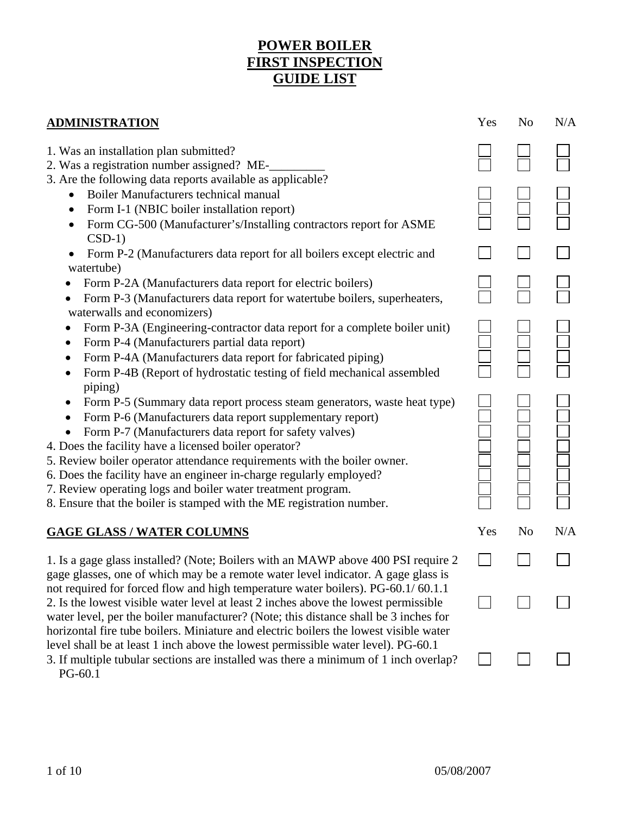## **POWER BOILER FIRST INSPECTION GUIDE LIST**

| <b>ADMINISTRATION</b>                                                                                                                                                                                                                                                                                                                                                                                                                                                                                                                                                                     |     | N <sub>o</sub> | N/A |
|-------------------------------------------------------------------------------------------------------------------------------------------------------------------------------------------------------------------------------------------------------------------------------------------------------------------------------------------------------------------------------------------------------------------------------------------------------------------------------------------------------------------------------------------------------------------------------------------|-----|----------------|-----|
| 1. Was an installation plan submitted?<br>2. Was a registration number assigned? ME-                                                                                                                                                                                                                                                                                                                                                                                                                                                                                                      |     |                |     |
| 3. Are the following data reports available as applicable?<br>Boiler Manufacturers technical manual<br>$\bullet$<br>Form I-1 (NBIC boiler installation report)<br>$\bullet$<br>Form CG-500 (Manufacturer's/Installing contractors report for ASME<br>$\bullet$                                                                                                                                                                                                                                                                                                                            |     |                |     |
| $CSD-1)$<br>Form P-2 (Manufacturers data report for all boilers except electric and<br>watertube)                                                                                                                                                                                                                                                                                                                                                                                                                                                                                         |     |                |     |
| Form P-2A (Manufacturers data report for electric boilers)<br>Form P-3 (Manufacturers data report for watertube boilers, superheaters,<br>waterwalls and economizers)                                                                                                                                                                                                                                                                                                                                                                                                                     |     |                |     |
| Form P-3A (Engineering-contractor data report for a complete boiler unit)<br>Form P-4 (Manufacturers partial data report)<br>$\bullet$<br>Form P-4A (Manufacturers data report for fabricated piping)<br>Form P-4B (Report of hydrostatic testing of field mechanical assembled<br>٠                                                                                                                                                                                                                                                                                                      |     |                |     |
| piping)<br>Form P-5 (Summary data report process steam generators, waste heat type)<br>$\bullet$<br>Form P-6 (Manufacturers data report supplementary report)<br>$\bullet$<br>Form P-7 (Manufacturers data report for safety valves)<br>4. Does the facility have a licensed boiler operator?<br>5. Review boiler operator attendance requirements with the boiler owner.<br>6. Does the facility have an engineer in-charge regularly employed?<br>7. Review operating logs and boiler water treatment program.<br>8. Ensure that the boiler is stamped with the ME registration number. |     |                |     |
| <b>GAGE GLASS / WATER COLUMNS</b>                                                                                                                                                                                                                                                                                                                                                                                                                                                                                                                                                         | Yes | N <sub>0</sub> | N/A |
| 1. Is a gage glass installed? (Note; Boilers with an MAWP above 400 PSI require 2<br>gage glasses, one of which may be a remote water level indicator. A gage glass is                                                                                                                                                                                                                                                                                                                                                                                                                    |     |                |     |
| not required for forced flow and high temperature water boilers). PG-60.1/60.1.1<br>2. Is the lowest visible water level at least 2 inches above the lowest permissible<br>water level, per the boiler manufacturer? (Note; this distance shall be 3 inches for<br>horizontal fire tube boilers. Miniature and electric boilers the lowest visible water                                                                                                                                                                                                                                  |     |                |     |
| level shall be at least 1 inch above the lowest permissible water level). PG-60.1<br>3. If multiple tubular sections are installed was there a minimum of 1 inch overlap?<br>$PG-60.1$                                                                                                                                                                                                                                                                                                                                                                                                    |     |                |     |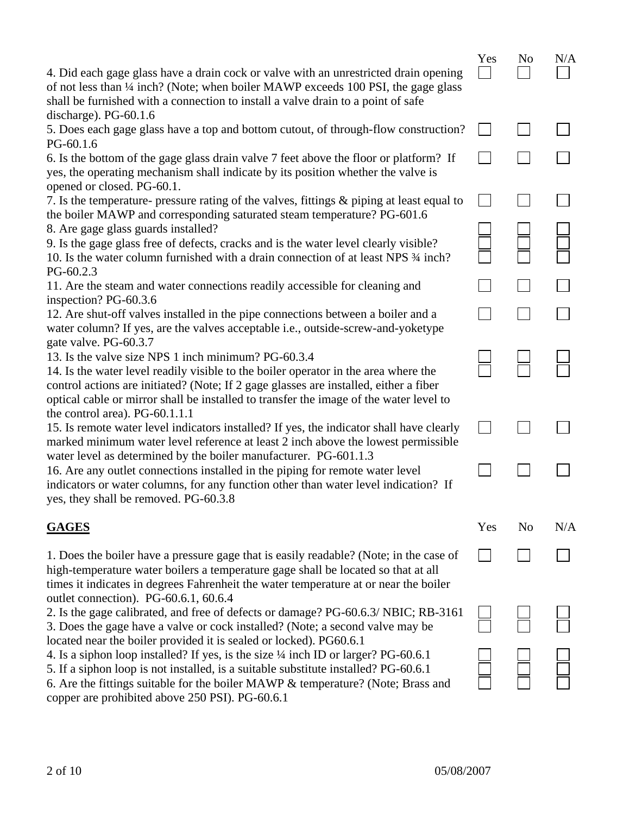|                                                                                                                                                                                                                                                                                                                               | Yes | N <sub>o</sub> | N/A |
|-------------------------------------------------------------------------------------------------------------------------------------------------------------------------------------------------------------------------------------------------------------------------------------------------------------------------------|-----|----------------|-----|
| 4. Did each gage glass have a drain cock or valve with an unrestricted drain opening<br>of not less than 1/4 inch? (Note; when boiler MAWP exceeds 100 PSI, the gage glass<br>shall be furnished with a connection to install a valve drain to a point of safe                                                                |     |                |     |
| discharge). PG-60.1.6<br>5. Does each gage glass have a top and bottom cutout, of through-flow construction?<br>PG-60.1.6                                                                                                                                                                                                     |     |                |     |
| 6. Is the bottom of the gage glass drain valve 7 feet above the floor or platform? If<br>yes, the operating mechanism shall indicate by its position whether the valve is<br>opened or closed. PG-60.1.                                                                                                                       |     |                |     |
| 7. Is the temperature- pressure rating of the valves, fittings & piping at least equal to<br>the boiler MAWP and corresponding saturated steam temperature? PG-601.6                                                                                                                                                          |     |                |     |
| 8. Are gage glass guards installed?<br>9. Is the gage glass free of defects, cracks and is the water level clearly visible?<br>10. Is the water column furnished with a drain connection of at least NPS $\frac{3}{4}$ inch?<br>PG-60.2.3                                                                                     |     |                |     |
| 11. Are the steam and water connections readily accessible for cleaning and                                                                                                                                                                                                                                                   |     |                |     |
| inspection? PG-60.3.6<br>12. Are shut-off valves installed in the pipe connections between a boiler and a<br>water column? If yes, are the valves acceptable i.e., outside-screw-and-yoketype<br>gate valve. PG-60.3.7                                                                                                        |     |                |     |
| 13. Is the valve size NPS 1 inch minimum? PG-60.3.4<br>14. Is the water level readily visible to the boiler operator in the area where the<br>control actions are initiated? (Note; If 2 gage glasses are installed, either a fiber<br>optical cable or mirror shall be installed to transfer the image of the water level to |     |                |     |
| the control area). $PG-60.1.1.1$<br>15. Is remote water level indicators installed? If yes, the indicator shall have clearly<br>marked minimum water level reference at least 2 inch above the lowest permissible                                                                                                             |     |                |     |
| water level as determined by the boiler manufacturer. PG-601.1.3<br>16. Are any outlet connections installed in the piping for remote water level<br>indicators or water columns, for any function other than water level indication? If<br>yes, they shall be removed. PG-60.3.8                                             |     |                |     |
| <b>GAGES</b>                                                                                                                                                                                                                                                                                                                  | Yes | N <sub>0</sub> | N/A |
| 1. Does the boiler have a pressure gage that is easily readable? (Note; in the case of<br>high-temperature water boilers a temperature gage shall be located so that at all<br>times it indicates in degrees Fahrenheit the water temperature at or near the boiler<br>outlet connection). PG-60.6.1, 60.6.4                  |     |                |     |
| 2. Is the gage calibrated, and free of defects or damage? PG-60.6.3/ NBIC; RB-3161<br>3. Does the gage have a valve or cock installed? (Note; a second valve may be<br>located near the boiler provided it is sealed or locked). PG60.6.1                                                                                     |     |                |     |
| 4. Is a siphon loop installed? If yes, is the size 1/4 inch ID or larger? PG-60.6.1<br>5. If a siphon loop is not installed, is a suitable substitute installed? PG-60.6.1<br>6. Are the fittings suitable for the boiler MAWP & temperature? (Note; Brass and<br>copper are prohibited above 250 PSI). PG-60.6.1             |     |                |     |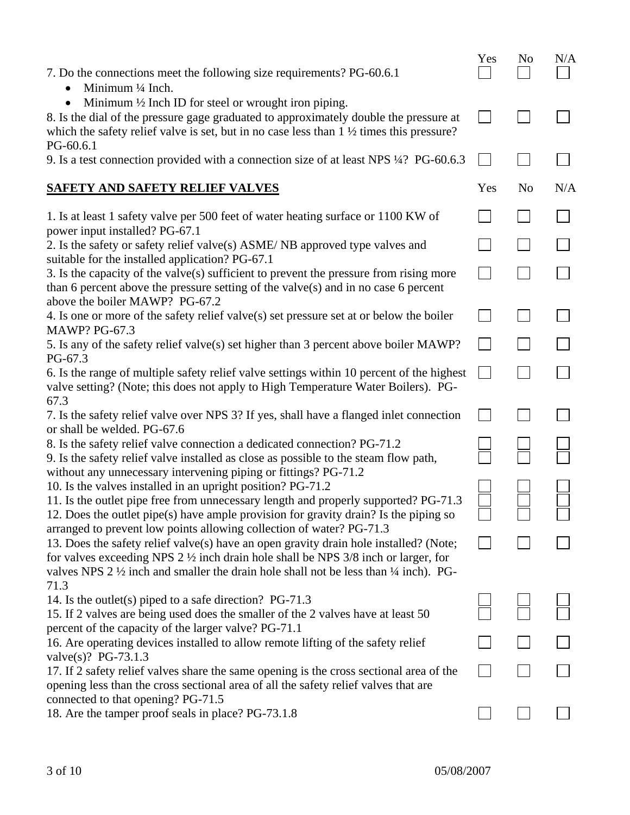| 7. Do the connections meet the following size requirements? PG-60.6.1<br>Minimum 1/4 Inch.                                                                                                                                                                                                                                                                                    | Yes | N <sub>o</sub> | N/A |
|-------------------------------------------------------------------------------------------------------------------------------------------------------------------------------------------------------------------------------------------------------------------------------------------------------------------------------------------------------------------------------|-----|----------------|-----|
| Minimum $\frac{1}{2}$ Inch ID for steel or wrought iron piping.<br>8. Is the dial of the pressure gage graduated to approximately double the pressure at<br>which the safety relief valve is set, but in no case less than $1\frac{1}{2}$ times this pressure?                                                                                                                |     |                |     |
| PG-60.6.1<br>9. Is a test connection provided with a connection size of at least NPS 1/4? PG-60.6.3                                                                                                                                                                                                                                                                           |     |                |     |
| SAFETY AND SAFETY RELIEF VALVES                                                                                                                                                                                                                                                                                                                                               | Yes | No             | N/A |
| 1. Is at least 1 safety valve per 500 feet of water heating surface or 1100 KW of<br>power input installed? PG-67.1                                                                                                                                                                                                                                                           |     |                |     |
| 2. Is the safety or safety relief valve(s) ASME/NB approved type valves and<br>suitable for the installed application? PG-67.1                                                                                                                                                                                                                                                |     |                |     |
| 3. Is the capacity of the valve $(s)$ sufficient to prevent the pressure from rising more<br>than 6 percent above the pressure setting of the valve $(s)$ and in no case 6 percent<br>above the boiler MAWP? PG-67.2                                                                                                                                                          |     |                |     |
| 4. Is one or more of the safety relief valve(s) set pressure set at or below the boiler<br><b>MAWP? PG-67.3</b>                                                                                                                                                                                                                                                               |     |                |     |
| 5. Is any of the safety relief valve(s) set higher than 3 percent above boiler MAWP?                                                                                                                                                                                                                                                                                          |     |                |     |
| PG-67.3<br>6. Is the range of multiple safety relief valve settings within 10 percent of the highest<br>valve setting? (Note; this does not apply to High Temperature Water Boilers). PG-<br>67.3                                                                                                                                                                             |     |                |     |
| 7. Is the safety relief valve over NPS 3? If yes, shall have a flanged inlet connection<br>or shall be welded. PG-67.6                                                                                                                                                                                                                                                        |     |                |     |
| 8. Is the safety relief valve connection a dedicated connection? PG-71.2<br>9. Is the safety relief valve installed as close as possible to the steam flow path,                                                                                                                                                                                                              |     |                |     |
| without any unnecessary intervening piping or fittings? PG-71.2<br>10. Is the valves installed in an upright position? PG-71.2<br>11. Is the outlet pipe free from unnecessary length and properly supported? PG-71.3<br>12. Does the outlet pipe(s) have ample provision for gravity drain? Is the piping so                                                                 |     |                |     |
| arranged to prevent low points allowing collection of water? PG-71.3<br>13. Does the safety relief valve(s) have an open gravity drain hole installed? (Note;<br>for valves exceeding NPS $2\frac{1}{2}$ inch drain hole shall be NPS $3/8$ inch or larger, for<br>valves NPS 2 $\frac{1}{2}$ inch and smaller the drain hole shall not be less than $\frac{1}{4}$ inch). PG- |     |                |     |
| 71.3<br>14. Is the outlet(s) piped to a safe direction? $PG-71.3$<br>15. If 2 valves are being used does the smaller of the 2 valves have at least 50<br>percent of the capacity of the larger valve? PG-71.1                                                                                                                                                                 |     |                |     |
| 16. Are operating devices installed to allow remote lifting of the safety relief                                                                                                                                                                                                                                                                                              |     |                |     |
| valve(s)? PG-73.1.3<br>17. If 2 safety relief valves share the same opening is the cross sectional area of the<br>opening less than the cross sectional area of all the safety relief valves that are                                                                                                                                                                         |     |                |     |
| connected to that opening? PG-71.5<br>18. Are the tamper proof seals in place? PG-73.1.8                                                                                                                                                                                                                                                                                      |     |                |     |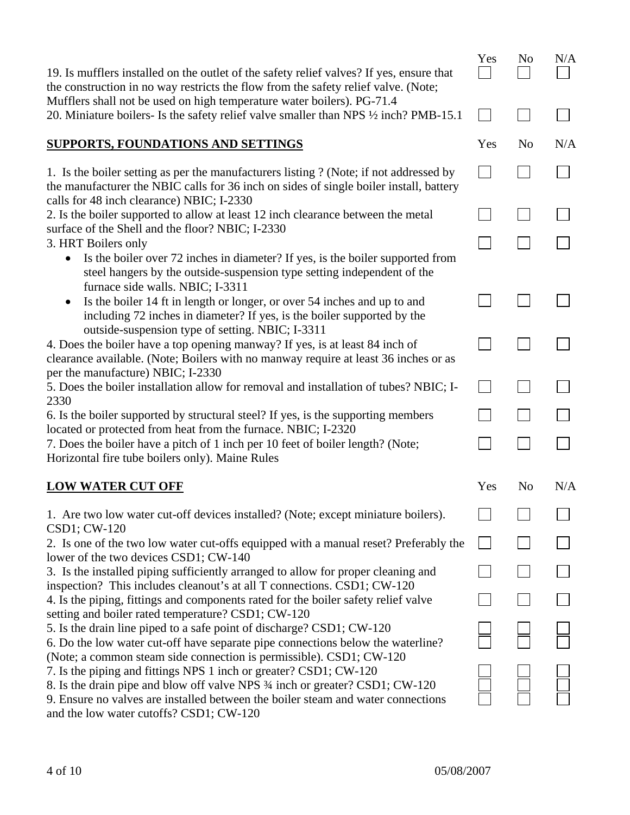| 19. Is mufflers installed on the outlet of the safety relief valves? If yes, ensure that<br>the construction in no way restricts the flow from the safety relief valve. (Note;                                                | Yes | N <sub>o</sub> | N/A |
|-------------------------------------------------------------------------------------------------------------------------------------------------------------------------------------------------------------------------------|-----|----------------|-----|
| Mufflers shall not be used on high temperature water boilers). PG-71.4<br>20. Miniature boilers- Is the safety relief valve smaller than NPS 1/2 inch? PMB-15.1                                                               |     |                |     |
| <b>SUPPORTS, FOUNDATIONS AND SETTINGS</b>                                                                                                                                                                                     | Yes | N <sub>0</sub> | N/A |
| 1. Is the boiler setting as per the manufacturers listing ? (Note; if not addressed by<br>the manufacturer the NBIC calls for 36 inch on sides of single boiler install, battery<br>calls for 48 inch clearance) NBIC; I-2330 |     |                |     |
| 2. Is the boiler supported to allow at least 12 inch clearance between the metal                                                                                                                                              |     |                |     |
| surface of the Shell and the floor? NBIC; I-2330<br>3. HRT Boilers only                                                                                                                                                       |     |                |     |
| Is the boiler over 72 inches in diameter? If yes, is the boiler supported from<br>$\bullet$<br>steel hangers by the outside-suspension type setting independent of the<br>furnace side walls. NBIC; I-3311                    |     |                |     |
| Is the boiler 14 ft in length or longer, or over 54 inches and up to and<br>$\bullet$<br>including 72 inches in diameter? If yes, is the boiler supported by the<br>outside-suspension type of setting. NBIC; I-3311          |     |                |     |
| 4. Does the boiler have a top opening manway? If yes, is at least 84 inch of<br>clearance available. (Note; Boilers with no manway require at least 36 inches or as<br>per the manufacture) NBIC; I-2330                      |     |                |     |
| 5. Does the boiler installation allow for removal and installation of tubes? NBIC; I-<br>2330                                                                                                                                 |     |                |     |
| 6. Is the boiler supported by structural steel? If yes, is the supporting members                                                                                                                                             |     |                |     |
| located or protected from heat from the furnace. NBIC; I-2320<br>7. Does the boiler have a pitch of 1 inch per 10 feet of boiler length? (Note;<br>Horizontal fire tube boilers only). Maine Rules                            |     |                |     |
| <b>LOW WATER CUT OFF</b>                                                                                                                                                                                                      | Yes | N <sub>0</sub> | N/A |
| 1. Are two low water cut-off devices installed? (Note; except miniature boilers).<br>CSD1; CW-120                                                                                                                             |     |                |     |
| 2. Is one of the two low water cut-offs equipped with a manual reset? Preferably the                                                                                                                                          |     |                |     |
| lower of the two devices CSD1; CW-140<br>3. Is the installed piping sufficiently arranged to allow for proper cleaning and                                                                                                    |     |                |     |
| inspection? This includes cleanout's at all T connections. CSD1; CW-120<br>4. Is the piping, fittings and components rated for the boiler safety relief valve                                                                 |     |                |     |
| setting and boiler rated temperature? CSD1; CW-120<br>5. Is the drain line piped to a safe point of discharge? CSD1; CW-120                                                                                                   |     |                |     |
| 6. Do the low water cut-off have separate pipe connections below the waterline?<br>(Note; a common steam side connection is permissible). CSD1; CW-120                                                                        |     |                |     |
| 7. Is the piping and fittings NPS 1 inch or greater? CSD1; CW-120                                                                                                                                                             |     |                |     |
| 8. Is the drain pipe and blow off valve NPS 3/4 inch or greater? CSD1; CW-120<br>9. Ensure no valves are installed between the boiler steam and water connections<br>and the low water cutoffs? CSD1; CW-120                  |     |                |     |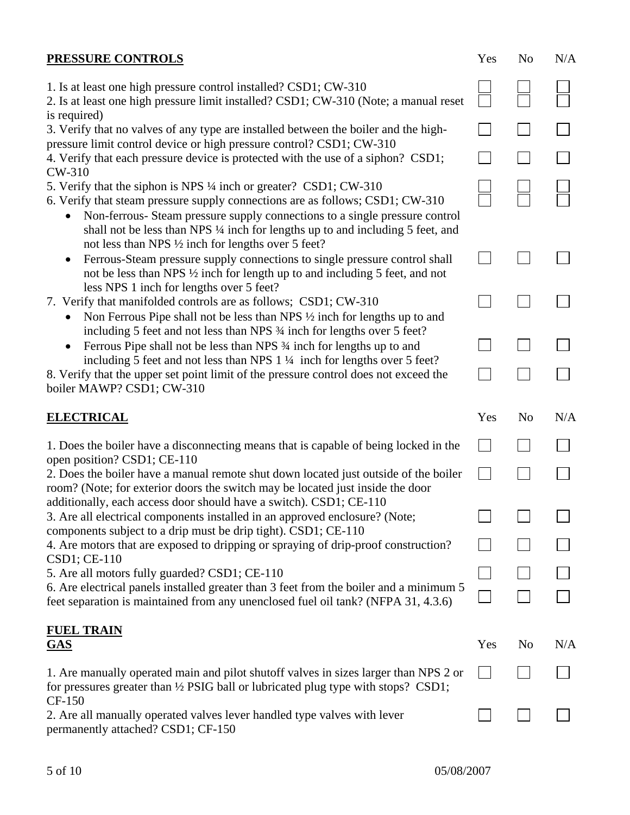| <b>PRESSURE CONTROLS</b>                                                                                                                                                                                                                                                                                                                                                               | Yes | N <sub>o</sub> | N/A |
|----------------------------------------------------------------------------------------------------------------------------------------------------------------------------------------------------------------------------------------------------------------------------------------------------------------------------------------------------------------------------------------|-----|----------------|-----|
| 1. Is at least one high pressure control installed? CSD1; CW-310<br>2. Is at least one high pressure limit installed? CSD1; CW-310 (Note; a manual reset                                                                                                                                                                                                                               |     |                |     |
| is required)<br>3. Verify that no valves of any type are installed between the boiler and the high-                                                                                                                                                                                                                                                                                    |     |                |     |
| pressure limit control device or high pressure control? CSD1; CW-310<br>4. Verify that each pressure device is protected with the use of a siphon? CSD1;<br>CW-310                                                                                                                                                                                                                     |     |                |     |
| 5. Verify that the siphon is NPS 1/4 inch or greater? CSD1; CW-310<br>6. Verify that steam pressure supply connections are as follows; CSD1; CW-310<br>Non-ferrous- Steam pressure supply connections to a single pressure control<br>shall not be less than NPS 1/4 inch for lengths up to and including 5 feet, and<br>not less than NPS $\frac{1}{2}$ inch for lengths over 5 feet? |     |                |     |
| Ferrous-Steam pressure supply connections to single pressure control shall<br>$\bullet$<br>not be less than NPS 1/2 inch for length up to and including 5 feet, and not<br>less NPS 1 inch for lengths over 5 feet?                                                                                                                                                                    |     |                |     |
| 7. Verify that manifolded controls are as follows; CSD1; CW-310<br>Non Ferrous Pipe shall not be less than NPS 1/2 inch for lengths up to and<br>including 5 feet and not less than NPS 3⁄4 inch for lengths over 5 feet?                                                                                                                                                              |     |                |     |
| Ferrous Pipe shall not be less than NPS 34 inch for lengths up to and                                                                                                                                                                                                                                                                                                                  |     |                |     |
| including 5 feet and not less than NPS $1\frac{1}{4}$ inch for lengths over 5 feet?<br>8. Verify that the upper set point limit of the pressure control does not exceed the                                                                                                                                                                                                            |     |                |     |
| boiler MAWP? CSD1; CW-310                                                                                                                                                                                                                                                                                                                                                              |     |                |     |
| <b>ELECTRICAL</b>                                                                                                                                                                                                                                                                                                                                                                      | Yes | N <sub>0</sub> | N/A |
| 1. Does the boiler have a disconnecting means that is capable of being locked in the                                                                                                                                                                                                                                                                                                   |     |                |     |
| open position? CSD1; CE-110<br>2. Does the boiler have a manual remote shut down located just outside of the boiler<br>room? (Note; for exterior doors the switch may be located just inside the door                                                                                                                                                                                  |     |                |     |
| additionally, each access door should have a switch). CSD1; CE-110<br>3. Are all electrical components installed in an approved enclosure? (Note;                                                                                                                                                                                                                                      |     |                |     |
| components subject to a drip must be drip tight). CSD1; CE-110<br>4. Are motors that are exposed to dripping or spraying of drip-proof construction?                                                                                                                                                                                                                                   |     |                |     |
| CSD1; CE-110<br>5. Are all motors fully guarded? CSD1; CE-110                                                                                                                                                                                                                                                                                                                          |     |                |     |
| 6. Are electrical panels installed greater than 3 feet from the boiler and a minimum 5<br>feet separation is maintained from any unenclosed fuel oil tank? (NFPA 31, 4.3.6)                                                                                                                                                                                                            |     |                |     |
| <b>FUEL TRAIN</b><br><b>GAS</b>                                                                                                                                                                                                                                                                                                                                                        | Yes | No             | N/A |
| 1. Are manually operated main and pilot shut of fvalves in sizes larger than NPS 2 or<br>for pressures greater than 1/2 PSIG ball or lubricated plug type with stops? CSD1;<br>CF-150                                                                                                                                                                                                  |     |                |     |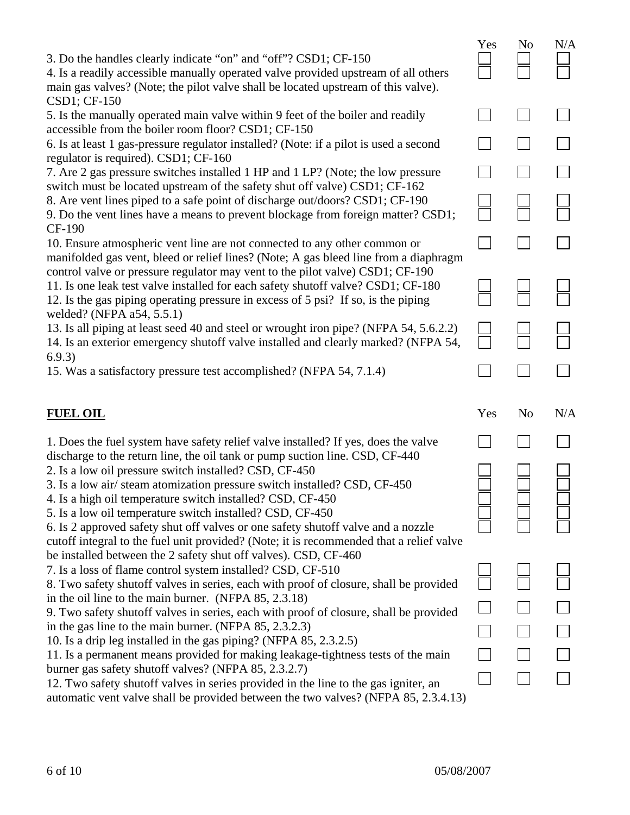| 3. Do the handles clearly indicate "on" and "off"? CSD1; CF-150<br>4. Is a readily accessible manually operated valve provided upstream of all others                                                                                                  | Yes | N <sub>o</sub> | N/A |
|--------------------------------------------------------------------------------------------------------------------------------------------------------------------------------------------------------------------------------------------------------|-----|----------------|-----|
| main gas valves? (Note; the pilot valve shall be located upstream of this valve).<br>CSD1; CF-150                                                                                                                                                      |     |                |     |
| 5. Is the manually operated main valve within 9 feet of the boiler and readily<br>accessible from the boiler room floor? CSD1; CF-150                                                                                                                  |     |                |     |
| 6. Is at least 1 gas-pressure regulator installed? (Note: if a pilot is used a second<br>regulator is required). CSD1; CF-160                                                                                                                          |     |                |     |
| 7. Are 2 gas pressure switches installed 1 HP and 1 LP? (Note; the low pressure<br>switch must be located upstream of the safety shut off valve) CSD1; CF-162                                                                                          |     |                |     |
| 8. Are vent lines piped to a safe point of discharge out/doors? CSD1; CF-190<br>9. Do the vent lines have a means to prevent blockage from foreign matter? CSD1;<br>CF-190                                                                             |     |                |     |
| 10. Ensure atmospheric vent line are not connected to any other common or<br>manifolded gas vent, bleed or relief lines? (Note; A gas bleed line from a diaphragm                                                                                      |     |                |     |
| control valve or pressure regulator may vent to the pilot valve) CSD1; CF-190<br>11. Is one leak test valve installed for each safety shutoff valve? CSD1; CF-180<br>12. Is the gas piping operating pressure in excess of 5 psi? If so, is the piping |     |                |     |
| welded? (NFPA a54, 5.5.1)<br>13. Is all piping at least seed 40 and steel or wrought iron pipe? (NFPA 54, 5.6.2.2)<br>14. Is an exterior emergency shutoff valve installed and clearly marked? (NFPA 54,                                               |     |                |     |
| 6.9.3)<br>15. Was a satisfactory pressure test accomplished? (NFPA 54, 7.1.4)                                                                                                                                                                          |     |                |     |
|                                                                                                                                                                                                                                                        |     |                |     |
| <b>FUEL OIL</b>                                                                                                                                                                                                                                        | Yes | N <sub>0</sub> | N/A |
| 1. Does the fuel system have safety relief valve installed? If yes, does the valve                                                                                                                                                                     |     |                |     |
| discharge to the return line, the oil tank or pump suction line. CSD, CF-440<br>2. Is a low oil pressure switch installed? CSD, CF-450                                                                                                                 |     |                |     |
| 3. Is a low air/steam atomization pressure switch installed? CSD, CF-450<br>4. Is a high oil temperature switch installed? CSD, CF-450                                                                                                                 |     |                |     |
| 5. Is a low oil temperature switch installed? CSD, CF-450<br>6. Is 2 approved safety shut off valves or one safety shutoff valve and a nozzle<br>cutoff integral to the fuel unit provided? (Note; it is recommended that a relief valve               |     |                |     |
| be installed between the 2 safety shut off valves). CSD, CF-460<br>7. Is a loss of flame control system installed? CSD, CF-510                                                                                                                         |     |                |     |
| 8. Two safety shutoff valves in series, each with proof of closure, shall be provided                                                                                                                                                                  |     |                |     |
| in the oil line to the main burner. (NFPA 85, 2.3.18)<br>9. Two safety shutoff valves in series, each with proof of closure, shall be provided                                                                                                         |     |                |     |
| in the gas line to the main burner. (NFPA 85, 2.3.2.3)<br>10. Is a drip leg installed in the gas piping? (NFPA 85, 2.3.2.5)                                                                                                                            |     |                |     |
| 11. Is a permanent means provided for making leakage-tightness tests of the main<br>burner gas safety shutoff valves? (NFPA 85, 2.3.2.7)                                                                                                               |     |                |     |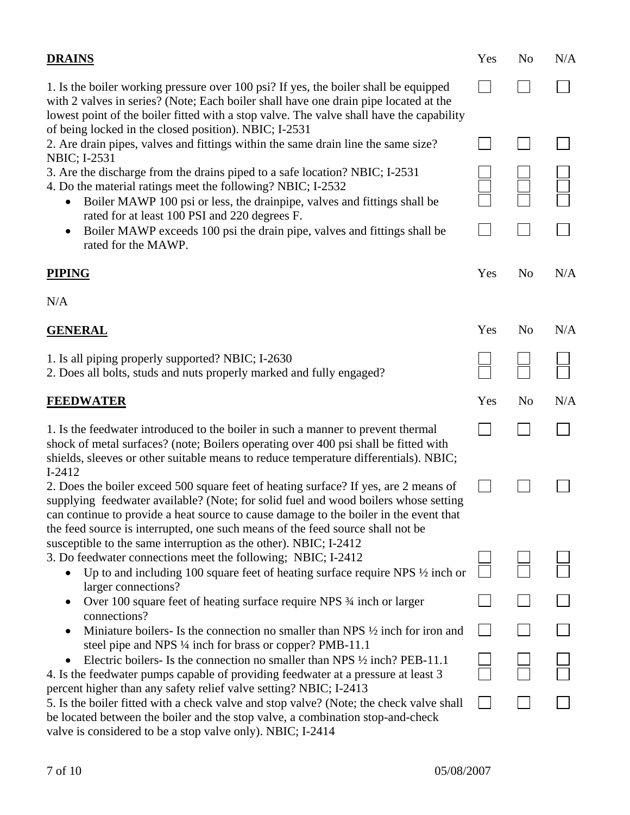| <b>DRAINS</b>                                                                                                                                                                                                                                                                                                                                                      | Yes | N <sub>0</sub> | N/A |
|--------------------------------------------------------------------------------------------------------------------------------------------------------------------------------------------------------------------------------------------------------------------------------------------------------------------------------------------------------------------|-----|----------------|-----|
| 1. Is the boiler working pressure over 100 psi? If yes, the boiler shall be equipped<br>with 2 valves in series? (Note; Each boiler shall have one drain pipe located at the<br>lowest point of the boiler fitted with a stop valve. The valve shall have the capability<br>of being locked in the closed position). NBIC; I-2531                                  |     |                |     |
| 2. Are drain pipes, valves and fittings within the same drain line the same size?                                                                                                                                                                                                                                                                                  |     |                |     |
| NBIC; I-2531<br>3. Are the discharge from the drains piped to a safe location? NBIC; I-2531<br>4. Do the material ratings meet the following? NBIC; I-2532<br>Boiler MAWP 100 psi or less, the drainpipe, valves and fittings shall be                                                                                                                             |     |                |     |
| rated for at least 100 PSI and 220 degrees F.<br>Boiler MAWP exceeds 100 psi the drain pipe, valves and fittings shall be<br>$\bullet$<br>rated for the MAWP.                                                                                                                                                                                                      |     |                |     |
| <b>PIPING</b>                                                                                                                                                                                                                                                                                                                                                      | Yes | N <sub>o</sub> | N/A |
| N/A                                                                                                                                                                                                                                                                                                                                                                |     |                |     |
| <b>GENERAL</b>                                                                                                                                                                                                                                                                                                                                                     | Yes | N <sub>0</sub> | N/A |
| 1. Is all piping properly supported? NBIC; I-2630<br>2. Does all bolts, studs and nuts properly marked and fully engaged?                                                                                                                                                                                                                                          |     |                |     |
| <b>FEEDWATER</b>                                                                                                                                                                                                                                                                                                                                                   | Yes | N <sub>0</sub> | N/A |
| 1. Is the feedwater introduced to the boiler in such a manner to prevent thermal<br>shock of metal surfaces? (note; Boilers operating over 400 psi shall be fitted with<br>shields, sleeves or other suitable means to reduce temperature differentials). NBIC;                                                                                                    |     |                |     |
| $I-2412$<br>2. Does the boiler exceed 500 square feet of heating surface? If yes, are 2 means of<br>supplying feedwater available? (Note; for solid fuel and wood boilers whose setting<br>can continue to provide a heat source to cause damage to the boiler in the event that<br>the feed source is interrupted, one such means of the feed source shall not be |     |                |     |
| susceptible to the same interruption as the other). NBIC; I-2412<br>3. Do feedwater connections meet the following; NBIC; I-2412                                                                                                                                                                                                                                   |     |                |     |
| Up to and including 100 square feet of heating surface require NPS $\frac{1}{2}$ inch or<br>larger connections?                                                                                                                                                                                                                                                    |     |                |     |
| Over 100 square feet of heating surface require NPS 3⁄4 inch or larger<br>connections?                                                                                                                                                                                                                                                                             |     |                |     |
| Miniature boilers- Is the connection no smaller than NPS $\frac{1}{2}$ inch for iron and<br>steel pipe and NPS 1/4 inch for brass or copper? PMB-11.1                                                                                                                                                                                                              |     |                |     |
| Electric boilers- Is the connection no smaller than NPS $\frac{1}{2}$ inch? PEB-11.1<br>4. Is the feedwater pumps capable of providing feedwater at a pressure at least 3                                                                                                                                                                                          |     |                |     |
| percent higher than any safety relief valve setting? NBIC; I-2413<br>5. Is the boiler fitted with a check valve and stop valve? (Note; the check valve shall<br>be located between the boiler and the stop valve, a combination stop-and-check<br>valve is considered to be a stop valve only). NBIC; I-2414                                                       |     |                |     |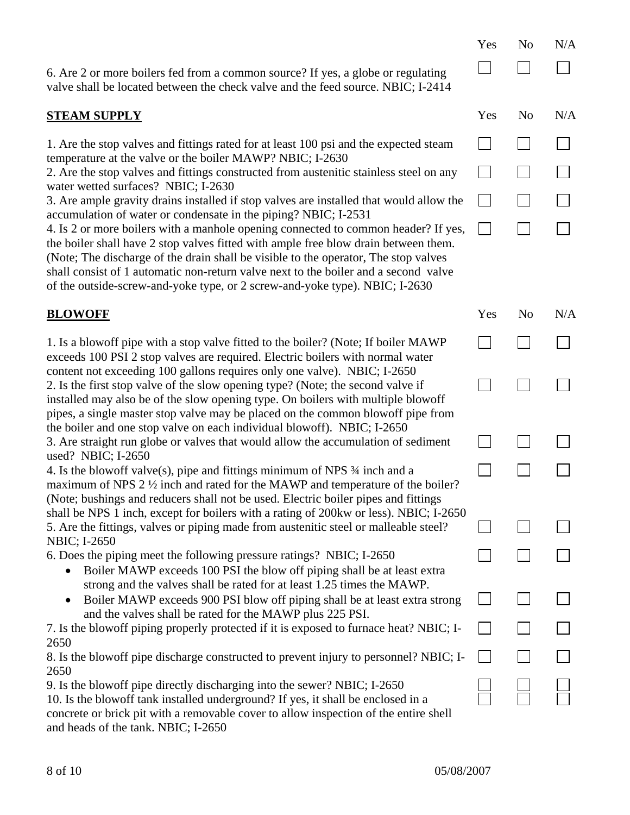6. Are 2 or more boilers fed from a common source? If yes, a globe or regulating valve shall be located between the check valve and the feed source. NBIC; I-2414

## **STEAM SUPPLY** Yes No N/A

1. Are the stop valves and fittings rated for at least 100 psi and the expected steam temperature at the valve or the boiler MAWP? NBIC; I-2630

2. Are the stop valves and fittings constructed from austenitic stainless steel on any water wetted surfaces? NBIC; I-2630

3. Are ample gravity drains installed if stop valves are installed that would allow the accumulation of water or condensate in the piping? NBIC; I-2531

4. Is 2 or more boilers with a manhole opening connected to common header? If yes, the boiler shall have 2 stop valves fitted with ample free blow drain between them. (Note; The discharge of the drain shall be visible to the operator, The stop valves shall consist of 1 automatic non-return valve next to the boiler and a second valve of the outside-screw-and-yoke type, or 2 screw-and-yoke type). NBIC; I-2630

## **BLOWOFF** Yes No N/A

1. Is a blowoff pipe with a stop valve fitted to the boiler? (Note; If boiler MAWP exceeds 100 PSI 2 stop valves are required. Electric boilers with normal water content not exceeding 100 gallons requires only one valve). NBIC; I-2650 2. Is the first stop valve of the slow opening type? (Note; the second valve if installed may also be of the slow opening type. On boilers with multiple blowoff pipes, a single master stop valve may be placed on the common blowoff pipe from the boiler and one stop valve on each individual blowoff). NBIC; I-2650 3. Are straight run globe or valves that would allow the accumulation of sediment used? NBIC; I-2650 4. Is the blowoff valve(s), pipe and fittings minimum of NPS ¾ inch and a maximum of NPS 2  $\frac{1}{2}$  inch and rated for the MAWP and temperature of the boiler? (Note; bushings and reducers shall not be used. Electric boiler pipes and fittings

shall be NPS 1 inch, except for boilers with a rating of 200kw or less). NBIC; I-2650 5. Are the fittings, valves or piping made from austenitic steel or malleable steel? NBIC; I-2650

6. Does the piping meet the following pressure ratings? NBIC; I-2650

- Boiler MAWP exceeds 100 PSI the blow off piping shall be at least extra strong and the valves shall be rated for at least 1.25 times the MAWP.
- Boiler MAWP exceeds 900 PSI blow off piping shall be at least extra strong and the valves shall be rated for the MAWP plus 225 PSI.

7. Is the blowoff piping properly protected if it is exposed to furnace heat? NBIC; I-2650

8. Is the blowoff pipe discharge constructed to prevent injury to personnel? NBIC; I-2650

9. Is the blowoff pipe directly discharging into the sewer? NBIC; I-2650

10. Is the blowoff tank installed underground? If yes, it shall be enclosed in a concrete or brick pit with a removable cover to allow inspection of the entire shell and heads of the tank. NBIC; I-2650

Yes No N/A

 $\Box$ 

 $\Box$ 

 $\Box$ 

 $\Box$ 

 $\Box$ 

 $\sim$ 

 $\Box$ 

 $\Box$ 

 $\perp$ 

 $\Box$ 

 $\Box$ 

 $\Box$ 

 $\perp$ 

 $\Box$ 

 $\Box$ 

 $\sim 10$ 

 $\Box$ 

 $\Box$ 

П

 $\Box$ 

 $\Box$ 

 $\Box$ 

 $\Box$ 

 $\Box$ 

 $\Box$ 

 $\Box$ 

 $\Box$ 

 $\Box$ 

 $\Box$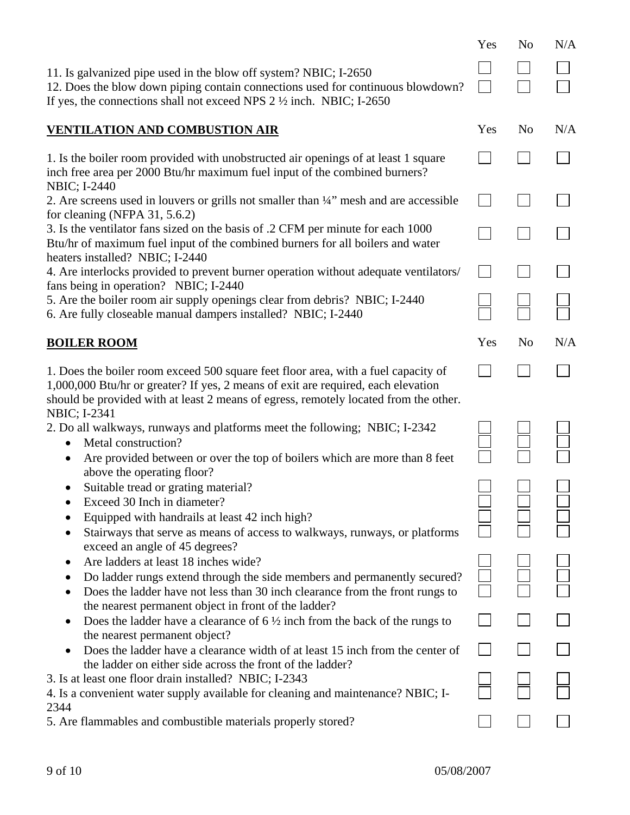|                                                                                                                                                                                                                                                                 | Yes | N <sub>o</sub> | N/A |
|-----------------------------------------------------------------------------------------------------------------------------------------------------------------------------------------------------------------------------------------------------------------|-----|----------------|-----|
| 11. Is galvanized pipe used in the blow off system? NBIC; I-2650<br>12. Does the blow down piping contain connections used for continuous blowdown?<br>If yes, the connections shall not exceed NPS $2\frac{1}{2}$ inch. NBIC; I-2650                           |     |                |     |
| <b>VENTILATION AND COMBUSTION AIR</b>                                                                                                                                                                                                                           | Yes | N <sub>0</sub> | N/A |
| 1. Is the boiler room provided with unobstructed air openings of at least 1 square<br>inch free area per 2000 Btu/hr maximum fuel input of the combined burners?                                                                                                |     |                |     |
| <b>NBIC</b> ; I-2440<br>2. Are screens used in louvers or grills not smaller than 1/4" mesh and are accessible<br>for cleaning (NFPA $31, 5.6.2$ )                                                                                                              |     |                |     |
| 3. Is the ventilator fans sized on the basis of .2 CFM per minute for each 1000<br>Btu/hr of maximum fuel input of the combined burners for all boilers and water<br>heaters installed? NBIC; I-2440                                                            |     |                |     |
| 4. Are interlocks provided to prevent burner operation without adequate ventilators/<br>fans being in operation? NBIC; I-2440                                                                                                                                   |     |                |     |
| 5. Are the boiler room air supply openings clear from debris? NBIC; I-2440<br>6. Are fully closeable manual dampers installed? NBIC; I-2440                                                                                                                     |     |                |     |
| <b>BOILER ROOM</b>                                                                                                                                                                                                                                              | Yes | N <sub>0</sub> | N/A |
| 1. Does the boiler room exceed 500 square feet floor area, with a fuel capacity of<br>1,000,000 Btu/hr or greater? If yes, 2 means of exit are required, each elevation<br>should be provided with at least 2 means of egress, remotely located from the other. |     |                |     |
| NBIC; I-2341<br>2. Do all walkways, runways and platforms meet the following; NBIC; I-2342<br>Metal construction?<br>Are provided between or over the top of boilers which are more than 8 feet                                                                 |     |                |     |
| above the operating floor?<br>Suitable tread or grating material?<br>Exceed 30 Inch in diameter?<br>Equipped with handrails at least 42 inch high?<br>Stairways that serve as means of access to walkways, runways, or platforms                                |     |                |     |
| exceed an angle of 45 degrees?<br>Are ladders at least 18 inches wide?<br>Do ladder rungs extend through the side members and permanently secured?<br>Does the ladder have not less than 30 inch clearance from the front rungs to                              |     |                |     |
| the nearest permanent object in front of the ladder?<br>Does the ladder have a clearance of $6\frac{1}{2}$ inch from the back of the rungs to<br>the nearest permanent object?                                                                                  |     |                |     |
| Does the ladder have a clearance width of at least 15 inch from the center of<br>the ladder on either side across the front of the ladder?                                                                                                                      |     |                |     |
| 3. Is at least one floor drain installed? NBIC; I-2343<br>4. Is a convenient water supply available for cleaning and maintenance? NBIC; I-<br>2344                                                                                                              |     |                |     |
| 5. Are flammables and combustible materials properly stored?                                                                                                                                                                                                    |     |                |     |